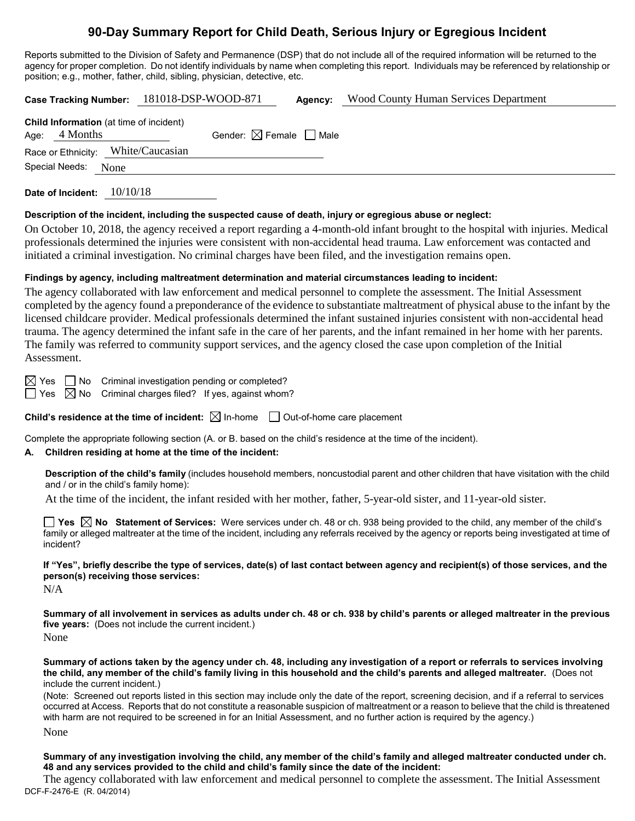# **90-Day Summary Report for Child Death, Serious Injury or Egregious Incident**

Reports submitted to the Division of Safety and Permanence (DSP) that do not include all of the required information will be returned to the agency for proper completion. Do not identify individuals by name when completing this report. Individuals may be referenced by relationship or position; e.g., mother, father, child, sibling, physician, detective, etc.

|                                                                   |  | Case Tracking Number: 181018-DSP-WOOD-871 |                                        | Agency: | <b>Wood County Human Services Department</b> |  |  |  |
|-------------------------------------------------------------------|--|-------------------------------------------|----------------------------------------|---------|----------------------------------------------|--|--|--|
| <b>Child Information</b> (at time of incident)<br>Age: $4$ Months |  |                                           | Gender: $\boxtimes$ Female $\Box$ Male |         |                                              |  |  |  |
| Race or Ethnicity: White/Caucasian                                |  |                                           |                                        |         |                                              |  |  |  |
| Special Needs:<br>None                                            |  |                                           |                                        |         |                                              |  |  |  |
|                                                                   |  |                                           |                                        |         |                                              |  |  |  |

**Date of Incident:** 10/10/18

#### **Description of the incident, including the suspected cause of death, injury or egregious abuse or neglect:**

On October 10, 2018, the agency received a report regarding a 4-month-old infant brought to the hospital with injuries. Medical professionals determined the injuries were consistent with non-accidental head trauma. Law enforcement was contacted and initiated a criminal investigation. No criminal charges have been filed, and the investigation remains open.

#### **Findings by agency, including maltreatment determination and material circumstances leading to incident:**

The agency collaborated with law enforcement and medical personnel to complete the assessment. The Initial Assessment completed by the agency found a preponderance of the evidence to substantiate maltreatment of physical abuse to the infant by the licensed childcare provider. Medical professionals determined the infant sustained injuries consistent with non-accidental head trauma. The agency determined the infant safe in the care of her parents, and the infant remained in her home with her parents. The family was referred to community support services, and the agency closed the case upon completion of the Initial Assessment.

 $\boxtimes$  Yes  $\Box$  No Criminal investigation pending or completed?

 $\Box$  Yes  $\boxtimes$  No Criminal charges filed? If yes, against whom?

**Child's residence at the time of incident:**  $\boxtimes$  In-home  $\Box$  Out-of-home care placement

Complete the appropriate following section (A. or B. based on the child's residence at the time of the incident).

#### **A. Children residing at home at the time of the incident:**

**Description of the child's family** (includes household members, noncustodial parent and other children that have visitation with the child and / or in the child's family home):

At the time of the incident, the infant resided with her mother, father, 5-year-old sister, and 11-year-old sister.

**Yes No Statement of Services:** Were services under ch. 48 or ch. 938 being provided to the child, any member of the child's family or alleged maltreater at the time of the incident, including any referrals received by the agency or reports being investigated at time of incident?

**If "Yes", briefly describe the type of services, date(s) of last contact between agency and recipient(s) of those services, and the person(s) receiving those services:**

N/A

**Summary of all involvement in services as adults under ch. 48 or ch. 938 by child's parents or alleged maltreater in the previous five years:** (Does not include the current incident.)

None

**Summary of actions taken by the agency under ch. 48, including any investigation of a report or referrals to services involving the child, any member of the child's family living in this household and the child's parents and alleged maltreater.** (Does not include the current incident.)

(Note: Screened out reports listed in this section may include only the date of the report, screening decision, and if a referral to services occurred at Access. Reports that do not constitute a reasonable suspicion of maltreatment or a reason to believe that the child is threatened with harm are not required to be screened in for an Initial Assessment, and no further action is required by the agency.) None

**Summary of any investigation involving the child, any member of the child's family and alleged maltreater conducted under ch. 48 and any services provided to the child and child's family since the date of the incident:**

DCF-F-2476-E (R. 04/2014) The agency collaborated with law enforcement and medical personnel to complete the assessment. The Initial Assessment